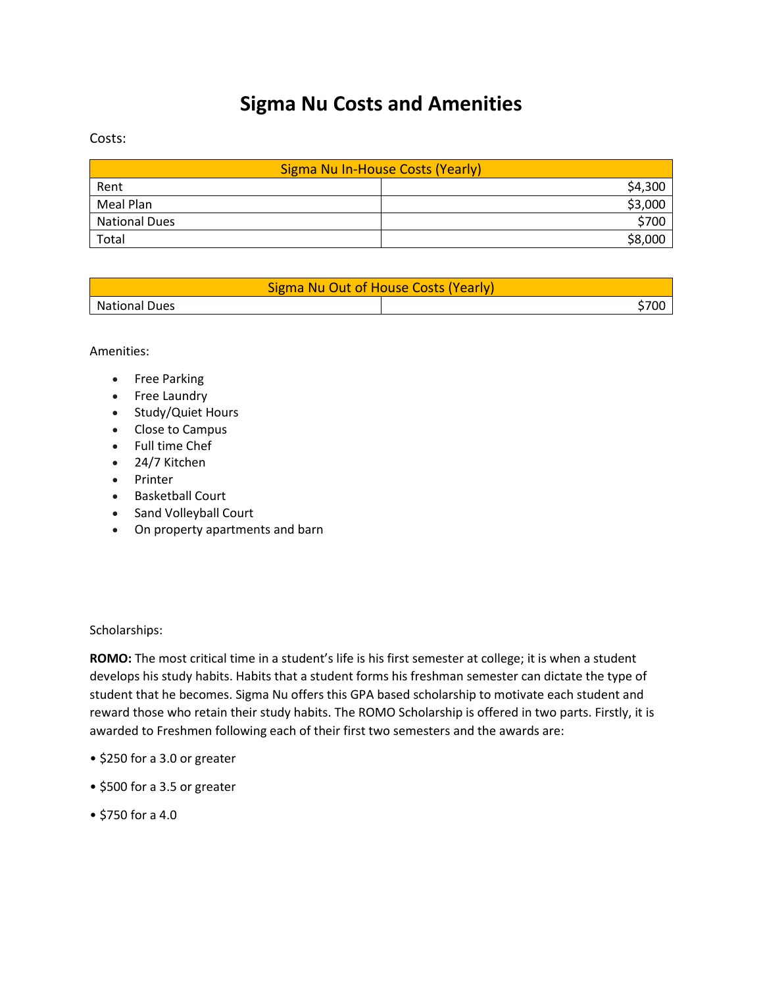## **Sigma Nu Costs and Amenities**

Costs:

| Sigma Nu In-House Costs (Yearly) |         |
|----------------------------------|---------|
| Rent                             | \$4,300 |
| Meal Plan                        | \$3,000 |
| <b>National Dues</b>             | \$700   |
| Total                            | \$8,000 |

| Sigma Nu Out of House Costs (Yearly) |      |
|--------------------------------------|------|
| <b>National Dues</b>                 | 370L |

Amenities:

- Free Parking
- Free Laundry
- Study/Quiet Hours
- Close to Campus
- Full time Chef
- 24/7 Kitchen
- Printer
- Basketball Court
- Sand Volleyball Court
- On property apartments and barn

Scholarships:

**ROMO:** The most critical time in a student's life is his first semester at college; it is when a student develops his study habits. Habits that a student forms his freshman semester can dictate the type of student that he becomes. Sigma Nu offers this GPA based scholarship to motivate each student and reward those who retain their study habits. The ROMO Scholarship is offered in two parts. Firstly, it is awarded to Freshmen following each of their first two semesters and the awards are:

- \$250 for a 3.0 or greater
- \$500 for a 3.5 or greater
- \$750 for a 4.0